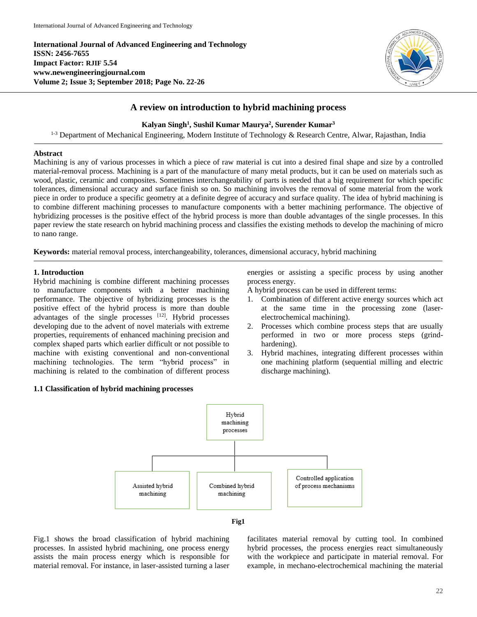**International Journal of Advanced Engineering and Technology ISSN: 2456-7655 Impact Factor: RJIF 5.54 www.newengineeringjournal.com Volume 2; Issue 3; September 2018; Page No. 22-26**



# **A review on introduction to hybrid machining process**

# **Kalyan Singh<sup>1</sup> , Sushil Kumar Maurya<sup>2</sup> , Surender Kumar<sup>3</sup>**

<sup>1-3</sup> Department of Mechanical Engineering, Modern Institute of Technology & Research Centre, Alwar, Rajasthan, India

# **Abstract**

Machining is any of various processes in which a piece of raw material is cut into a desired final shape and size by a controlled material-removal process. Machining is a part of the manufacture of many metal products, but it can be used on materials such as wood, plastic, ceramic and composites. Sometimes interchangeability of parts is needed that a big requirement for which specific tolerances, dimensional accuracy and surface finish so on. So machining involves the removal of some material from the work piece in order to produce a specific geometry at a definite degree of accuracy and surface quality. The idea of hybrid machining is to combine different machining processes to manufacture components with a better machining performance. The objective of hybridizing processes is the positive effect of the hybrid process is more than double advantages of the single processes. In this paper review the state research on hybrid machining process and classifies the existing methods to develop the machining of micro to nano range.

**Keywords:** material removal process, interchangeability, tolerances, dimensional accuracy, hybrid machining

# **1. Introduction**

Hybrid machining is combine different machining processes to manufacture components with a better machining performance. The objective of hybridizing processes is the positive effect of the hybrid process is more than double advantages of the single processes [12]. Hybrid processes developing due to the advent of novel materials with extreme properties, requirements of enhanced machining precision and complex shaped parts which earlier difficult or not possible to machine with existing conventional and non-conventional machining technologies. The term "hybrid process" in machining is related to the combination of different process

# **1.1 Classification of hybrid machining processes**

energies or assisting a specific process by using another process energy.

A hybrid process can be used in different terms:

- 1. Combination of different active energy sources which act at the same time in the processing zone (laserelectrochemical machining).
- 2. Processes which combine process steps that are usually performed in two or more process steps (grindhardening).
- 3. Hybrid machines, integrating different processes within one machining platform (sequential milling and electric discharge machining).





Fig.1 shows the broad classification of hybrid machining processes. In assisted hybrid machining, one process energy assists the main process energy which is responsible for material removal. For instance, in laser-assisted turning a laser

facilitates material removal by cutting tool. In combined hybrid processes, the process energies react simultaneously with the workpiece and participate in material removal. For example, in mechano-electrochemical machining the material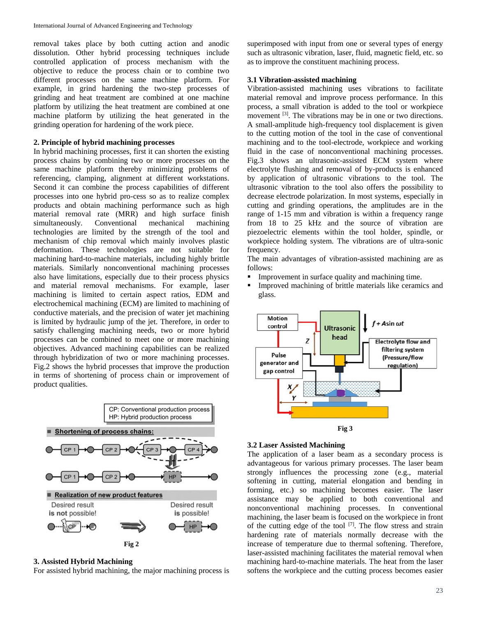removal takes place by both cutting action and anodic dissolution. Other hybrid processing techniques include controlled application of process mechanism with the objective to reduce the process chain or to combine two different processes on the same machine platform. For example, in grind hardening the two-step processes of grinding and heat treatment are combined at one machine platform by utilizing the heat treatment are combined at one machine platform by utilizing the heat generated in the grinding operation for hardening of the work piece.

# **2. Principle of hybrid machining processes**

In hybrid machining processes, first it can shorten the existing process chains by combining two or more processes on the same machine platform thereby minimizing problems of referencing, clamping, alignment at different workstations. Second it can combine the process capabilities of different processes into one hybrid pro-cess so as to realize complex products and obtain machining performance such as high material removal rate (MRR) and high surface finish simultaneously. Conventional mechanical machining technologies are limited by the strength of the tool and mechanism of chip removal which mainly involves plastic deformation. These technologies are not suitable for machining hard-to-machine materials, including highly brittle materials. Similarly nonconventional machining processes also have limitations, especially due to their process physics and material removal mechanisms. For example, laser machining is limited to certain aspect ratios, EDM and electrochemical machining (ECM) are limited to machining of conductive materials, and the precision of water jet machining is limited by hydraulic jump of the jet. Therefore, in order to satisfy challenging machining needs, two or more hybrid processes can be combined to meet one or more machining objectives. Advanced machining capabilities can be realized through hybridization of two or more machining processes. Fig.2 shows the hybrid processes that improve the production in terms of shortening of process chain or improvement of product qualities.



#### **3. Assisted Hybrid Machining**

For assisted hybrid machining, the major machining process is

superimposed with input from one or several types of energy such as ultrasonic vibration, laser, fluid, magnetic field, etc. so as to improve the constituent machining process.

#### **3.1 Vibration-assisted machining**

Vibration-assisted machining uses vibrations to facilitate material removal and improve process performance. In this process, a small vibration is added to the tool or workpiece movement <sup>[3]</sup>. The vibrations may be in one or two directions. A small-amplitude high-frequency tool displacement is given to the cutting motion of the tool in the case of conventional machining and to the tool-electrode, workpiece and working fluid in the case of nonconventional machining processes. Fig.3 shows an ultrasonic-assisted ECM system where electrolyte flushing and removal of by-products is enhanced by application of ultrasonic vibrations to the tool. The ultrasonic vibration to the tool also offers the possibility to decrease electrode polarization. In most systems, especially in cutting and grinding operations, the amplitudes are in the range of 1-15 mm and vibration is within a frequency range from 18 to 25 kHz and the source of vibration are piezoelectric elements within the tool holder, spindle, or workpiece holding system. The vibrations are of ultra-sonic frequency.

The main advantages of vibration-assisted machining are as follows:

- **Improvement in surface quality and machining time.**
- Improved machining of brittle materials like ceramics and glass.





#### **3.2 Laser Assisted Machining**

The application of a laser beam as a secondary process is advantageous for various primary processes. The laser beam strongly influences the processing zone (e.g., material softening in cutting, material elongation and bending in forming, etc.) so machining becomes easier. The laser assistance may be applied to both conventional and nonconventional machining processes. In conventional machining, the laser beam is focused on the workpiece in front of the cutting edge of the tool  $[7]$ . The flow stress and strain hardening rate of materials normally decrease with the increase of temperature due to thermal softening. Therefore, laser-assisted machining facilitates the material removal when machining hard-to-machine materials. The heat from the laser softens the workpiece and the cutting process becomes easier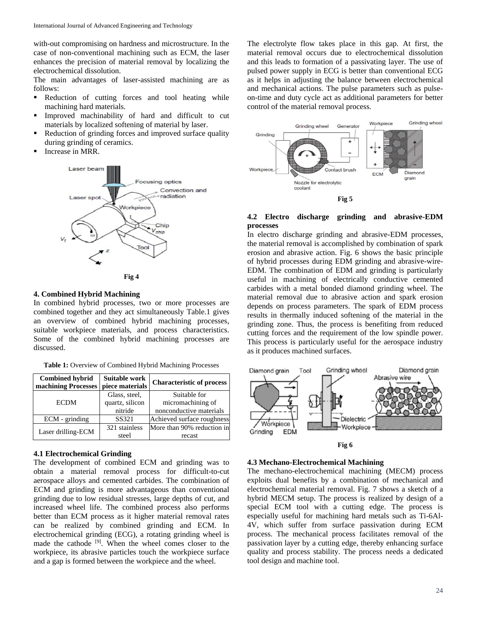with-out compromising on hardness and microstructure. In the case of non-conventional machining such as ECM, the laser enhances the precision of material removal by localizing the electrochemical dissolution.

The main advantages of laser-assisted machining are as follows:

- Reduction of cutting forces and tool heating while machining hard materials.
- Improved machinability of hard and difficult to cut materials by localized softening of material by laser.
- Reduction of grinding forces and improved surface quality during grinding of ceramics.
- Increase in MRR.





### **4. Combined Hybrid Machining**

In combined hybrid processes, two or more processes are combined together and they act simultaneously Table.1 gives an overview of combined hybrid machining processes, suitable workpiece materials, and process characteristics. Some of the combined hybrid machining processes are discussed.

**Table 1:** Overview of Combined Hybrid Machining Processes

| <b>Combined hybrid</b><br>machining Processes | Suitable work<br>piece materials | <b>Characteristic of process</b> |
|-----------------------------------------------|----------------------------------|----------------------------------|
| <b>ECDM</b>                                   | Glass, steel,                    | Suitable for                     |
|                                               | quartz, silicon                  | micromachining of                |
|                                               | nitride                          | nonconductive materials          |
| ECM - grinding                                | SS321                            | Achieved surface roughness       |
| Laser drilling-ECM                            | 321 stainless                    | More than 90% reduction in       |
|                                               | steel                            | recast                           |

#### **4.1 Electrochemical Grinding**

The development of combined ECM and grinding was to obtain a material removal process for difficult-to-cut aerospace alloys and cemented carbides. The combination of ECM and grinding is more advantageous than conventional grinding due to low residual stresses, large depths of cut, and increased wheel life. The combined process also performs better than ECM process as it higher material removal rates can be realized by combined grinding and ECM. In electrochemical grinding (ECG), a rotating grinding wheel is made the cathode [9]. When the wheel comes closer to the workpiece, its abrasive particles touch the workpiece surface and a gap is formed between the workpiece and the wheel.

The electrolyte flow takes place in this gap. At first, the material removal occurs due to electrochemical dissolution and this leads to formation of a passivating layer. The use of pulsed power supply in ECG is better than conventional ECG as it helps in adjusting the balance between electrochemical and mechanical actions. The pulse parameters such as pulseon-time and duty cycle act as additional parameters for better control of the material removal process.



## **4.2 Electro discharge grinding and abrasive-EDM processes**

In electro discharge grinding and abrasive-EDM processes, the material removal is accomplished by combination of spark erosion and abrasive action. Fig. 6 shows the basic principle of hybrid processes during EDM grinding and abrasive-wire-EDM. The combination of EDM and grinding is particularly useful in machining of electrically conductive cemented carbides with a metal bonded diamond grinding wheel. The material removal due to abrasive action and spark erosion depends on process parameters. The spark of EDM process results in thermally induced softening of the material in the grinding zone. Thus, the process is benefiting from reduced cutting forces and the requirement of the low spindle power. This process is particularly useful for the aerospace industry as it produces machined surfaces.





#### **4.3 Mechano-Electrochemical Machining**

The mechano-electrochemical machining (MECM) process exploits dual benefits by a combination of mechanical and electrochemical material removal. Fig. 7 shows a sketch of a hybrid MECM setup. The process is realized by design of a special ECM tool with a cutting edge. The process is especially useful for machining hard metals such as Ti-6Al-4V, which suffer from surface passivation during ECM process. The mechanical process facilitates removal of the passivation layer by a cutting edge, thereby enhancing surface quality and process stability. The process needs a dedicated tool design and machine tool.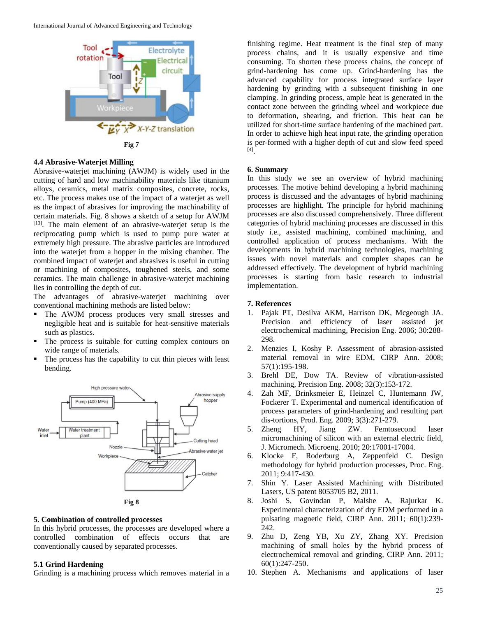

### **4.4 Abrasive-Waterjet Milling**

Abrasive-waterjet machining (AWJM) is widely used in the cutting of hard and low machinability materials like titanium alloys, ceramics, metal matrix composites, concrete, rocks, etc. The process makes use of the impact of a waterjet as well as the impact of abrasives for improving the machinability of certain materials. Fig. 8 shows a sketch of a setup for AWJM [13]. The main element of an abrasive-waterjet setup is the reciprocating pump which is used to pump pure water at extremely high pressure. The abrasive particles are introduced into the waterjet from a hopper in the mixing chamber. The combined impact of waterjet and abrasives is useful in cutting or machining of composites, toughened steels, and some ceramics. The main challenge in abrasive-waterjet machining lies in controlling the depth of cut.

The advantages of abrasive-waterjet machining over conventional machining methods are listed below:

- The AWJM process produces very small stresses and negligible heat and is suitable for heat-sensitive materials such as plastics.
- The process is suitable for cutting complex contours on wide range of materials.
- The process has the capability to cut thin pieces with least bending.





#### **5. Combination of controlled processes**

In this hybrid processes, the processes are developed where a controlled combination of effects occurs that are conventionally caused by separated processes.

### **5.1 Grind Hardening**

Grinding is a machining process which removes material in a

finishing regime. Heat treatment is the final step of many process chains, and it is usually expensive and time consuming. To shorten these process chains, the concept of grind-hardening has come up. Grind-hardening has the advanced capability for process integrated surface layer hardening by grinding with a subsequent finishing in one clamping. In grinding process, ample heat is generated in the contact zone between the grinding wheel and workpiece due to deformation, shearing, and friction. This heat can be utilized for short-time surface hardening of the machined part. In order to achieve high heat input rate, the grinding operation is per-formed with a higher depth of cut and slow feed speed [4] .

# **6. Summary**

In this study we see an overview of hybrid machining processes. The motive behind developing a hybrid machining process is discussed and the advantages of hybrid machining processes are highlight. The principle for hybrid machining processes are also discussed comprehensively. Three different categories of hybrid machining processes are discussed in this study i.e., assisted machining, combined machining, and controlled application of process mechanisms. With the developments in hybrid machining technologies, machining issues with novel materials and complex shapes can be addressed effectively. The development of hybrid machining processes is starting from basic research to industrial implementation.

#### **7. References**

- 1. Pajak PT, Desilva AKM, Harrison DK, Mcgeough JA. Precision and efficiency of laser assisted jet electrochemical machining, Precision Eng. 2006; 30:288- 298.
- 2. Menzies I, Koshy P. Assessment of abrasion-assisted material removal in wire EDM, CIRP Ann. 2008; 57(1):195-198.
- 3. Brehl DE, Dow TA. Review of vibration-assisted machining, Precision Eng. 2008; 32(3):153-172.
- 4. Zah MF, Brinksmeier E, Heinzel C, Huntemann JW, Fockerer T. Experimental and numerical identification of process parameters of grind-hardening and resulting part dis-tortions, Prod. Eng. 2009; 3(3):271-279.
- 5. Zheng HY, Jiang ZW. Femtosecond laser micromachining of silicon with an external electric field, J. Micromech. Microeng. 2010; 20:17001-17004.
- 6. Klocke F, Roderburg A, Zeppenfeld C. Design methodology for hybrid production processes, Proc. Eng. 2011; 9:417-430.
- 7. Shin Y. Laser Assisted Machining with Distributed Lasers, US patent 8053705 B2, 2011.
- 8. Joshi S, Govindan P, Malshe A, Rajurkar K. Experimental characterization of dry EDM performed in a pulsating magnetic field, CIRP Ann. 2011; 60(1):239- 242.
- 9. Zhu D, Zeng YB, Xu ZY, Zhang XY. Precision machining of small holes by the hybrid process of electrochemical removal and grinding, CIRP Ann. 2011; 60(1):247-250.
- 10. Stephen A. Mechanisms and applications of laser